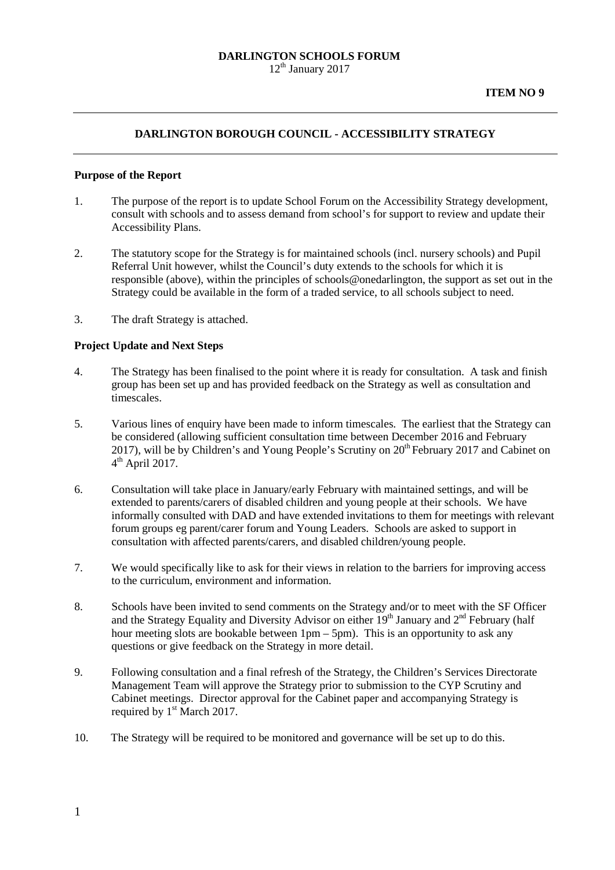#### **DARLINGTON SCHOOLS FORUM**  $12<sup>th</sup>$  January 2017

### **DARLINGTON BOROUGH COUNCIL - ACCESSIBILITY STRATEGY**

#### **Purpose of the Report**

- 1. The purpose of the report is to update School Forum on the Accessibility Strategy development, consult with schools and to assess demand from school's for support to review and update their Accessibility Plans.
- 2. The statutory scope for the Strategy is for maintained schools (incl. nursery schools) and Pupil Referral Unit however, whilst the Council's duty extends to the schools for which it is responsible (above), within the principles of schools@onedarlington, the support as set out in the Strategy could be available in the form of a traded service, to all schools subject to need.
- 3. The draft Strategy is attached.

#### **Project Update and Next Steps**

- 4. The Strategy has been finalised to the point where it is ready for consultation. A task and finish group has been set up and has provided feedback on the Strategy as well as consultation and timescales.
- 5. Various lines of enquiry have been made to inform timescales. The earliest that the Strategy can be considered (allowing sufficient consultation time between December 2016 and February 2017), will be by Children's and Young People's Scrutiny on  $20<sup>th</sup>$  February 2017 and Cabinet on  $4<sup>th</sup>$  April 2017.
- 6. Consultation will take place in January/early February with maintained settings, and will be extended to parents/carers of disabled children and young people at their schools. We have informally consulted with DAD and have extended invitations to them for meetings with relevant forum groups eg parent/carer forum and Young Leaders. Schools are asked to support in consultation with affected parents/carers, and disabled children/young people.
- 7. We would specifically like to ask for their views in relation to the barriers for improving access to the curriculum, environment and information.
- 8. Schools have been invited to send comments on the Strategy and/or to meet with the SF Officer and the Strategy Equality and Diversity Advisor on either  $19<sup>th</sup>$  January and  $2<sup>nd</sup>$  February (half hour meeting slots are bookable between 1pm – 5pm). This is an opportunity to ask any questions or give feedback on the Strategy in more detail.
- 9. Following consultation and a final refresh of the Strategy, the Children's Services Directorate Management Team will approve the Strategy prior to submission to the CYP Scrutiny and Cabinet meetings. Director approval for the Cabinet paper and accompanying Strategy is required by  $1<sup>st</sup> March 2017$ .
- 10. The Strategy will be required to be monitored and governance will be set up to do this.